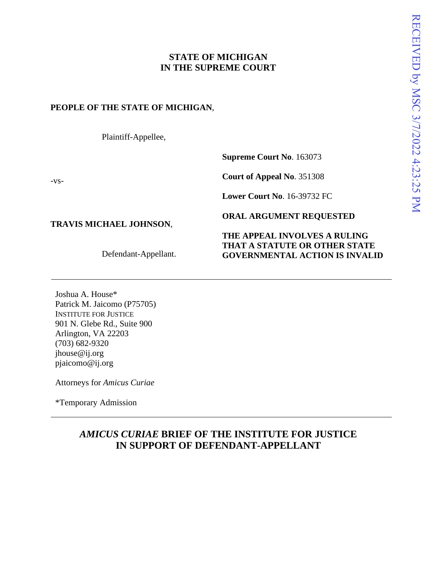# **STATE OF MICHIGAN IN THE SUPREME COURT**

## **PEOPLE OF THE STATE OF MICHIGAN**,

Plaintiff-Appellee,

**Supreme Court No**. 163073

**Court of Appeal No**. 351308

**Lower Court No**. 16-39732 FC

## **TRAVIS MICHAEL JOHNSON**,

-vs-

Defendant-Appellant.

## **ORAL ARGUMENT REQUESTED**

## **THE APPEAL INVOLVES A RULING THAT A STATUTE OR OTHER STATE GOVERNMENTAL ACTION IS INVALID**

Joshua A. House\* Patrick M. Jaicomo (P75705) INSTITUTE FOR JUSTICE 901 N. Glebe Rd., Suite 900 Arlington, VA 22203 (703) 682-9320 jhouse@ij.org pjaicomo@ij.org

Attorneys for *Amicus Curiae*

\*Temporary Admission

# *AMICUS CURIAE* **BRIEF OF THE INSTITUTE FOR JUSTICE IN SUPPORT OF DEFENDANT-APPELLANT**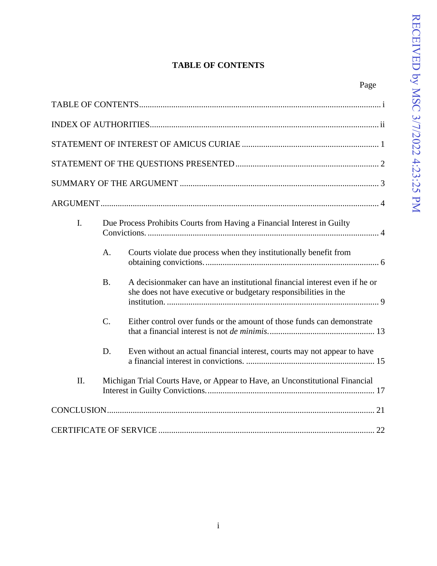# **TABLE OF CONTENTS**

<span id="page-1-0"></span>

|     |                                                                              | Page                                                                                                                                            |
|-----|------------------------------------------------------------------------------|-------------------------------------------------------------------------------------------------------------------------------------------------|
|     |                                                                              |                                                                                                                                                 |
|     |                                                                              |                                                                                                                                                 |
|     |                                                                              |                                                                                                                                                 |
|     |                                                                              |                                                                                                                                                 |
|     |                                                                              |                                                                                                                                                 |
|     |                                                                              |                                                                                                                                                 |
| I.  | Due Process Prohibits Courts from Having a Financial Interest in Guilty      |                                                                                                                                                 |
|     | A.                                                                           | Courts violate due process when they institutionally benefit from                                                                               |
|     | B <sub>1</sub>                                                               | A decision maker can have an institutional financial interest even if he or<br>she does not have executive or budgetary responsibilities in the |
|     | $C_{\cdot}$                                                                  | Either control over funds or the amount of those funds can demonstrate                                                                          |
|     | D.                                                                           | Even without an actual financial interest, courts may not appear to have                                                                        |
| II. | Michigan Trial Courts Have, or Appear to Have, an Unconstitutional Financial |                                                                                                                                                 |
|     |                                                                              |                                                                                                                                                 |
|     |                                                                              |                                                                                                                                                 |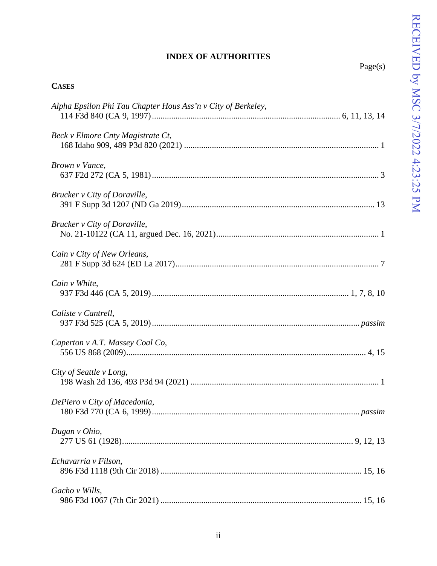# **INDEX OF AUTHORITIES**

| ١O<br>r<br>₫ |
|--------------|
|--------------|

<span id="page-2-0"></span>

| <b>CASES</b>                                                 |
|--------------------------------------------------------------|
| Alpha Epsilon Phi Tau Chapter Hous Ass'n v City of Berkeley, |
| Beck v Elmore Cnty Magistrate Ct,                            |
| Brown v Vance,                                               |
| Brucker v City of Doraville,                                 |
| Brucker v City of Doraville,                                 |
| Cain v City of New Orleans,                                  |
| Cain v White,                                                |
| Caliste v Cantrell,                                          |
| Caperton v A.T. Massey Coal Co,                              |
| City of Seattle v Long,                                      |
| DePiero v City of Macedonia,                                 |
| Dugan v Ohio,                                                |
| Echavarria v Filson,                                         |
| Gacho v Wills,                                               |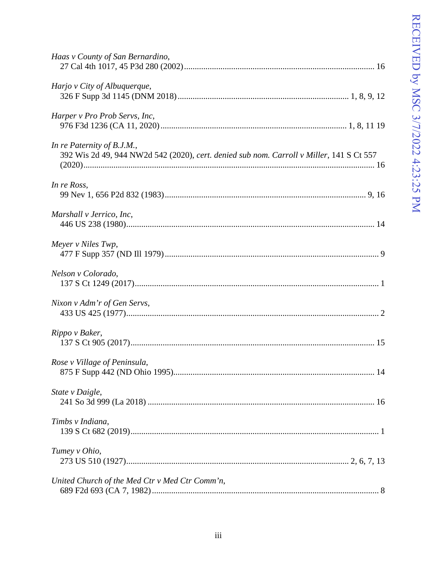| Haas v County of San Bernardino,                                                                                       |
|------------------------------------------------------------------------------------------------------------------------|
| Harjo v City of Albuquerque,                                                                                           |
| Harper v Pro Prob Servs, Inc,                                                                                          |
| In re Paternity of B.J.M.,<br>392 Wis 2d 49, 944 NW2d 542 (2020), cert. denied sub nom. Carroll v Miller, 141 S Ct 557 |
| In re Ross,                                                                                                            |
| Marshall v Jerrico, Inc,                                                                                               |
| Meyer v Niles Twp,                                                                                                     |
| Nelson v Colorado,                                                                                                     |
| Nixon v Adm'r of Gen Servs,                                                                                            |
| Rippo v Baker,                                                                                                         |
| Rose v Village of Peninsula,                                                                                           |
| State v Daigle,                                                                                                        |
| Timbs v Indiana,                                                                                                       |
| Tumey v Ohio,                                                                                                          |
| United Church of the Med Ctr v Med Ctr Comm'n,                                                                         |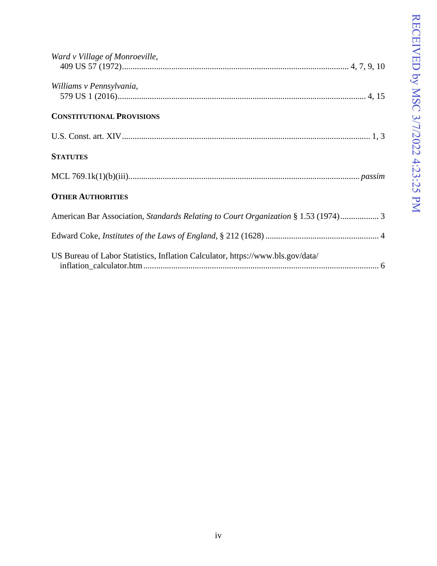| Ward v Village of Monroeville,                                                     |
|------------------------------------------------------------------------------------|
| Williams v Pennsylvania,                                                           |
| <b>CONSTITUTIONAL PROVISIONS</b>                                                   |
|                                                                                    |
| <b>STATUTES</b>                                                                    |
|                                                                                    |
| <b>OTHER AUTHORITIES</b>                                                           |
| American Bar Association, Standards Relating to Court Organization § 1.53 (1974) 3 |
|                                                                                    |
| US Bureau of Labor Statistics, Inflation Calculator, https://www.bls.gov/data/     |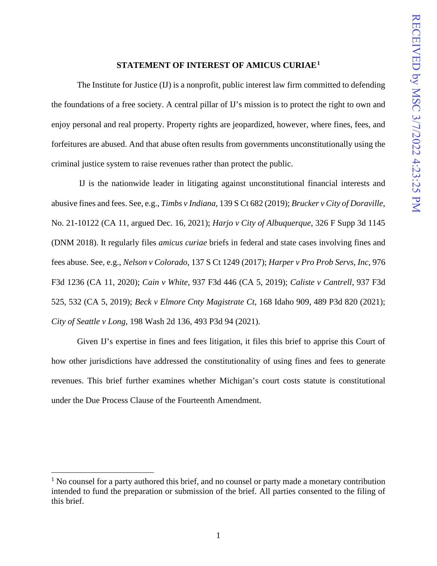### **STATEMENT OF INTEREST OF AMICUS CURIAE[1](#page-5-1)**

<span id="page-5-0"></span>The Institute for Justice (IJ) is a nonprofit, public interest law firm committed to defending the foundations of a free society. A central pillar of IJ's mission is to protect the right to own and enjoy personal and real property. Property rights are jeopardized, however, where fines, fees, and forfeitures are abused. And that abuse often results from governments unconstitutionally using the criminal justice system to raise revenues rather than protect the public.

IJ is the nationwide leader in litigating against unconstitutional financial interests and abusive fines and fees. See, e.g., *Timbs v Indiana*, 139 S Ct 682 (2019); *Brucker v City of Doraville*, No. 21-10122 (CA 11, argued Dec. 16, 2021); *Harjo v City of Albuquerque*, 326 F Supp 3d 1145 (DNM 2018). It regularly files *amicus curiae* briefs in federal and state cases involving fines and fees abuse. See, e.g., *Nelson v Colorado*, 137 S Ct 1249 (2017); *Harper v Pro Prob Servs, Inc*, 976 F3d 1236 (CA 11, 2020); *Cain v White*, 937 F3d 446 (CA 5, 2019); *Caliste v Cantrell*, 937 F3d 525, 532 (CA 5, 2019); *Beck v Elmore Cnty Magistrate Ct*, 168 Idaho 909, 489 P3d 820 (2021); *City of Seattle v Long*, 198 Wash 2d 136, 493 P3d 94 (2021).

Given IJ's expertise in fines and fees litigation, it files this brief to apprise this Court of how other jurisdictions have addressed the constitutionality of using fines and fees to generate revenues. This brief further examines whether Michigan's court costs statute is constitutional under the Due Process Clause of the Fourteenth Amendment.

<span id="page-5-1"></span> $<sup>1</sup>$  No counsel for a party authored this brief, and no counsel or party made a monetary contribution</sup> intended to fund the preparation or submission of the brief. All parties consented to the filing of this brief.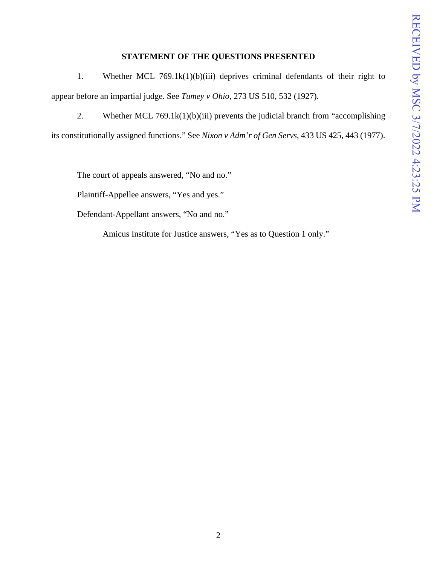### **STATEMENT OF THE QUESTIONS PRESENTED**

<span id="page-6-0"></span>1. Whether MCL 769.1k(1)(b)(iii) deprives criminal defendants of their right to appear before an impartial judge. See *Tumey v Ohio*, 273 US 510, 532 (1927).

2. Whether MCL 769.1 $k(1)(b)(iii)$  prevents the judicial branch from "accomplishing its constitutionally assigned functions." See *Nixon v Adm'r of Gen Servs*, 433 US 425, 443 (1977).

The court of appeals answered, "No and no."

Plaintiff-Appellee answers, "Yes and yes."

Defendant-Appellant answers, "No and no."

Amicus Institute for Justice answers, "Yes as to Question 1 only."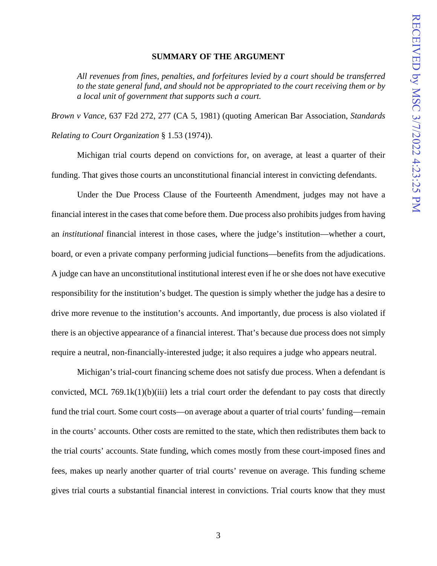#### **SUMMARY OF THE ARGUMENT**

<span id="page-7-0"></span>*All revenues from fines, penalties, and forfeitures levied by a court should be transferred to the state general fund, and should not be appropriated to the court receiving them or by a local unit of government that supports such a court.* 

*Brown v Vance*, 637 F2d 272, 277 (CA 5, 1981) (quoting American Bar Association, *Standards Relating to Court Organization* § 1.53 (1974)).

Michigan trial courts depend on convictions for, on average, at least a quarter of their funding. That gives those courts an unconstitutional financial interest in convicting defendants.

Under the Due Process Clause of the Fourteenth Amendment, judges may not have a financial interest in the cases that come before them. Due process also prohibits judges from having an *institutional* financial interest in those cases, where the judge's institution—whether a court, board, or even a private company performing judicial functions—benefits from the adjudications. A judge can have an unconstitutional institutional interest even if he or she does not have executive responsibility for the institution's budget. The question is simply whether the judge has a desire to drive more revenue to the institution's accounts. And importantly, due process is also violated if there is an objective appearance of a financial interest. That's because due process does not simply require a neutral, non-financially-interested judge; it also requires a judge who appears neutral.

Michigan's trial-court financing scheme does not satisfy due process. When a defendant is convicted, MCL 769.1 $k(1)(b)(iii)$  lets a trial court order the defendant to pay costs that directly fund the trial court. Some court costs—on average about a quarter of trial courts' funding—remain in the courts' accounts. Other costs are remitted to the state, which then redistributes them back to the trial courts' accounts. State funding, which comes mostly from these court-imposed fines and fees, makes up nearly another quarter of trial courts' revenue on average. This funding scheme gives trial courts a substantial financial interest in convictions. Trial courts know that they must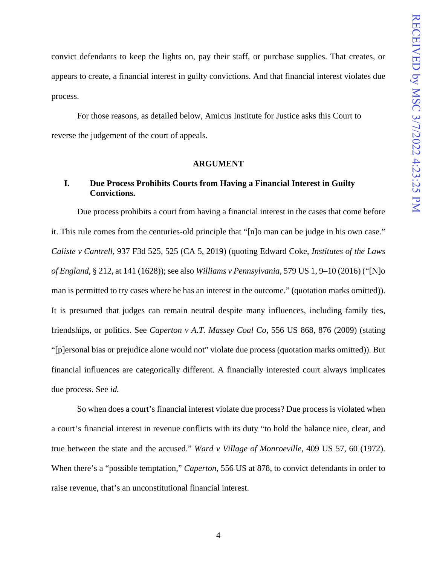convict defendants to keep the lights on, pay their staff, or purchase supplies. That creates, or appears to create, a financial interest in guilty convictions. And that financial interest violates due process.

 For those reasons, as detailed below, Amicus Institute for Justice asks this Court to reverse the judgement of the court of appeals.

#### **ARGUMENT**

## <span id="page-8-1"></span><span id="page-8-0"></span>**I. Due Process Prohibits Courts from Having a Financial Interest in Guilty Convictions.**

Due process prohibits a court from having a financial interest in the cases that come before it. This rule comes from the centuries-old principle that "[n]o man can be judge in his own case." *Caliste v Cantrell*, 937 F3d 525, 525 (CA 5, 2019) (quoting Edward Coke, *Institutes of the Laws of England*, § 212, at 141 (1628)); see also *Williams v Pennsylvania*, 579 US 1, 9–10 (2016) ("[N]o man is permitted to try cases where he has an interest in the outcome." (quotation marks omitted)). It is presumed that judges can remain neutral despite many influences, including family ties, friendships, or politics. See *Caperton v A.T. Massey Coal Co*, 556 US 868, 876 (2009) (stating "[p]ersonal bias or prejudice alone would not" violate due process (quotation marks omitted)). But financial influences are categorically different. A financially interested court always implicates due process. See *id.*

So when does a court's financial interest violate due process? Due process is violated when a court's financial interest in revenue conflicts with its duty "to hold the balance nice, clear, and true between the state and the accused." *Ward v Village of Monroeville*, 409 US 57, 60 (1972). When there's a "possible temptation," *Caperton*, 556 US at 878, to convict defendants in order to raise revenue, that's an unconstitutional financial interest.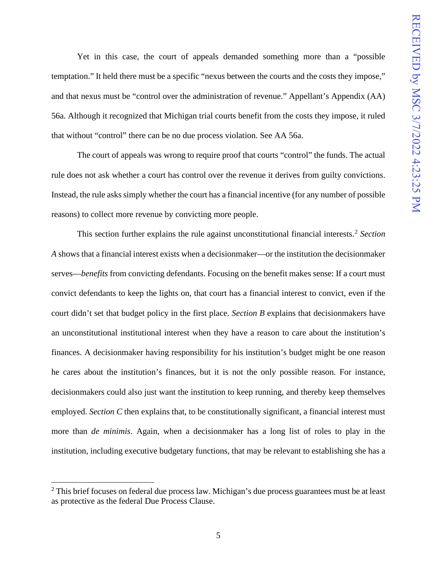Yet in this case, the court of appeals demanded something more than a "possible temptation." It held there must be a specific "nexus between the courts and the costs they impose," and that nexus must be "control over the administration of revenue." Appellant's Appendix (AA) 56a. Although it recognized that Michigan trial courts benefit from the costs they impose, it ruled that without "control" there can be no due process violation. See AA 56a.

The court of appeals was wrong to require proof that courts "control" the funds. The actual rule does not ask whether a court has control over the revenue it derives from guilty convictions. Instead, the rule asks simply whether the court has a financial incentive (for any number of possible reasons) to collect more revenue by convicting more people.

This section further explains the rule against unconstitutional financial interests. [2](#page-9-0) *Section A* shows that a financial interest exists when a decisionmaker—or the institution the decisionmaker serves—*benefits* from convicting defendants. Focusing on the benefit makes sense: If a court must convict defendants to keep the lights on, that court has a financial interest to convict, even if the court didn't set that budget policy in the first place. *Section B* explains that decisionmakers have an unconstitutional institutional interest when they have a reason to care about the institution's finances. A decisionmaker having responsibility for his institution's budget might be one reason he cares about the institution's finances, but it is not the only possible reason. For instance, decisionmakers could also just want the institution to keep running, and thereby keep themselves employed. *Section C* then explains that, to be constitutionally significant, a financial interest must more than *de minimis*. Again, when a decisionmaker has a long list of roles to play in the institution, including executive budgetary functions, that may be relevant to establishing she has a

<span id="page-9-0"></span> $2$  This brief focuses on federal due process law. Michigan's due process guarantees must be at least as protective as the federal Due Process Clause.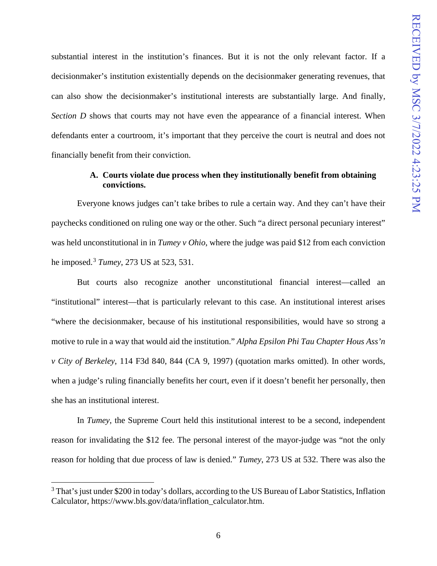substantial interest in the institution's finances. But it is not the only relevant factor. If a decisionmaker's institution existentially depends on the decisionmaker generating revenues, that can also show the decisionmaker's institutional interests are substantially large. And finally, *Section D* shows that courts may not have even the appearance of a financial interest. When defendants enter a courtroom, it's important that they perceive the court is neutral and does not financially benefit from their conviction.

## **A. Courts violate due process when they institutionally benefit from obtaining convictions.**

<span id="page-10-0"></span>Everyone knows judges can't take bribes to rule a certain way. And they can't have their paychecks conditioned on ruling one way or the other. Such "a direct personal pecuniary interest" was held unconstitutional in in *Tumey v Ohio*, where the judge was paid \$12 from each conviction he imposed.[3](#page-10-1) *Tumey*, 273 US at 523, 531.

But courts also recognize another unconstitutional financial interest—called an "institutional" interest—that is particularly relevant to this case. An institutional interest arises "where the decisionmaker, because of his institutional responsibilities, would have so strong a motive to rule in a way that would aid the institution." *Alpha Epsilon Phi Tau Chapter Hous Ass'n v City of Berkeley*, 114 F3d 840, 844 (CA 9, 1997) (quotation marks omitted). In other words, when a judge's ruling financially benefits her court, even if it doesn't benefit her personally, then she has an institutional interest.

In *Tumey*, the Supreme Court held this institutional interest to be a second, independent reason for invalidating the \$12 fee. The personal interest of the mayor-judge was "not the only reason for holding that due process of law is denied." *Tumey*, 273 US at 532. There was also the

<span id="page-10-1"></span><sup>&</sup>lt;sup>3</sup> That's just under \$200 in today's dollars, according to the US Bureau of Labor Statistics, Inflation Calculator, https://www.bls.gov/data/inflation\_calculator.htm.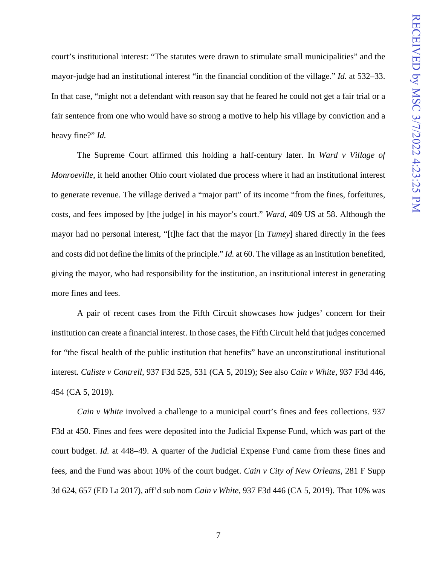court's institutional interest: "The statutes were drawn to stimulate small municipalities" and the mayor-judge had an institutional interest "in the financial condition of the village." *Id.* at 532–33. In that case, "might not a defendant with reason say that he feared he could not get a fair trial or a fair sentence from one who would have so strong a motive to help his village by conviction and a heavy fine?" *Id.*

The Supreme Court affirmed this holding a half-century later. In *Ward v Village of Monroeville*, it held another Ohio court violated due process where it had an institutional interest to generate revenue. The village derived a "major part" of its income "from the fines, forfeitures, costs, and fees imposed by [the judge] in his mayor's court." *Ward*, 409 US at 58. Although the mayor had no personal interest, "[t]he fact that the mayor [in *Tumey*] shared directly in the fees and costs did not define the limits of the principle." *Id.* at 60. The village as an institution benefited, giving the mayor, who had responsibility for the institution, an institutional interest in generating more fines and fees.

A pair of recent cases from the Fifth Circuit showcases how judges' concern for their institution can create a financial interest. In those cases, the Fifth Circuit held that judges concerned for "the fiscal health of the public institution that benefits" have an unconstitutional institutional interest. *Caliste v Cantrell*, 937 F3d 525, 531 (CA 5, 2019); See also *Cain v White*, 937 F3d 446, 454 (CA 5, 2019).

*Cain v White* involved a challenge to a municipal court's fines and fees collections. 937 F3d at 450. Fines and fees were deposited into the Judicial Expense Fund, which was part of the court budget. *Id.* at 448–49. A quarter of the Judicial Expense Fund came from these fines and fees, and the Fund was about 10% of the court budget. *Cain v City of New Orleans*, 281 F Supp 3d 624, 657 (ED La 2017), aff'd sub nom *Cain v White*, 937 F3d 446 (CA 5, 2019). That 10% was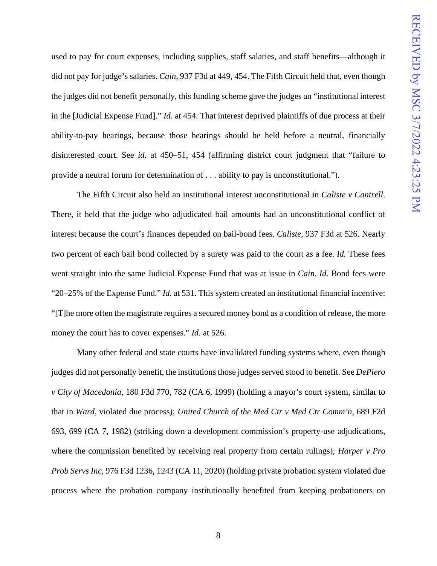used to pay for court expenses, including supplies, staff salaries, and staff benefits—although it did not pay for judge's salaries. *Cain*, 937 F3d at 449, 454. The Fifth Circuit held that, even though the judges did not benefit personally, this funding scheme gave the judges an "institutional interest in the [Judicial Expense Fund]." *Id.* at 454. That interest deprived plaintiffs of due process at their ability-to-pay hearings, because those hearings should be held before a neutral, financially disinterested court. See *id.* at 450–51, 454 (affirming district court judgment that "failure to provide a neutral forum for determination of . . . ability to pay is unconstitutional.").

The Fifth Circuit also held an institutional interest unconstitutional in *Caliste v Cantrell*. There, it held that the judge who adjudicated bail amounts had an unconstitutional conflict of interest because the court's finances depended on bail-bond fees. *Caliste*, 937 F3d at 526. Nearly two percent of each bail bond collected by a surety was paid to the court as a fee. *Id.* These fees went straight into the same Judicial Expense Fund that was at issue in *Cain*. *Id.* Bond fees were "20–25% of the Expense Fund." *Id.* at 531. This system created an institutional financial incentive: "[T]he more often the magistrate requires a secured money bond as a condition of release, the more money the court has to cover expenses." *Id.* at 526.

Many other federal and state courts have invalidated funding systems where, even though judges did not personally benefit, the institutions those judges served stood to benefit. See *DePiero v City of Macedonia*, 180 F3d 770, 782 (CA 6, 1999) (holding a mayor's court system, similar to that in *Ward*, violated due process); *United Church of the Med Ctr v Med Ctr Comm'n*, 689 F2d 693, 699 (CA 7, 1982) (striking down a development commission's property-use adjudications, where the commission benefited by receiving real property from certain rulings); *Harper v Pro Prob Servs Inc*, 976 F3d 1236, 1243 (CA 11, 2020) (holding private probation system violated due process where the probation company institutionally benefited from keeping probationers on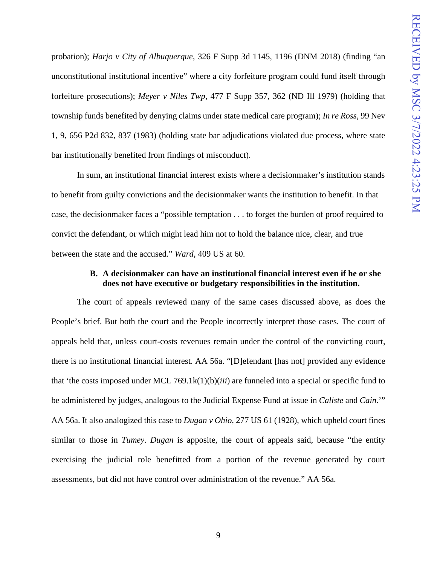probation); *Harjo v City of Albuquerque*, 326 F Supp 3d 1145, 1196 (DNM 2018) (finding "an unconstitutional institutional incentive" where a city forfeiture program could fund itself through forfeiture prosecutions); *Meyer v Niles Twp*, 477 F Supp 357, 362 (ND Ill 1979) (holding that township funds benefited by denying claims under state medical care program); *In re Ross*, 99 Nev 1, 9, 656 P2d 832, 837 (1983) (holding state bar adjudications violated due process, where state bar institutionally benefited from findings of misconduct).

In sum, an institutional financial interest exists where a decisionmaker's institution stands to benefit from guilty convictions and the decisionmaker wants the institution to benefit. In that case, the decisionmaker faces a "possible temptation . . . to forget the burden of proof required to convict the defendant, or which might lead him not to hold the balance nice, clear, and true between the state and the accused." *Ward*, 409 US at 60.

## **B. A decisionmaker can have an institutional financial interest even if he or she does not have executive or budgetary responsibilities in the institution.**

<span id="page-13-0"></span>The court of appeals reviewed many of the same cases discussed above, as does the People's brief. But both the court and the People incorrectly interpret those cases. The court of appeals held that, unless court-costs revenues remain under the control of the convicting court, there is no institutional financial interest. AA 56a. "[D]efendant [has not] provided any evidence that 'the costs imposed under MCL 769.1k(1)(b)(*iii*) are funneled into a special or specific fund to be administered by judges, analogous to the Judicial Expense Fund at issue in *Caliste* and *Cain*.'" AA 56a. It also analogized this case to *Dugan v Ohio*, 277 US 61 (1928), which upheld court fines similar to those in *Tumey*. *Dugan* is apposite, the court of appeals said, because "the entity exercising the judicial role benefitted from a portion of the revenue generated by court assessments, but did not have control over administration of the revenue." AA 56a.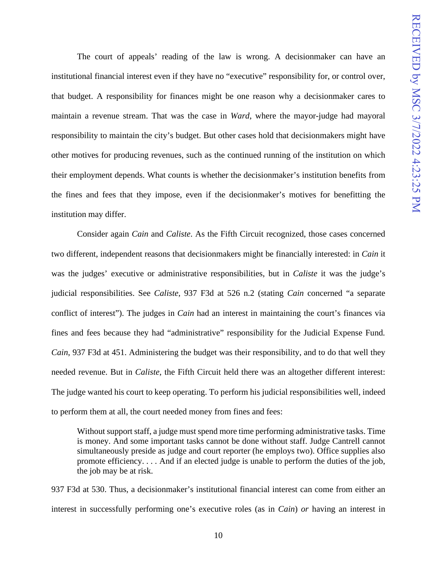The court of appeals' reading of the law is wrong. A decisionmaker can have an institutional financial interest even if they have no "executive" responsibility for, or control over, that budget. A responsibility for finances might be one reason why a decisionmaker cares to maintain a revenue stream. That was the case in *Ward*, where the mayor-judge had mayoral responsibility to maintain the city's budget. But other cases hold that decisionmakers might have other motives for producing revenues, such as the continued running of the institution on which their employment depends. What counts is whether the decisionmaker's institution benefits from the fines and fees that they impose, even if the decisionmaker's motives for benefitting the institution may differ.

Consider again *Cain* and *Caliste*. As the Fifth Circuit recognized, those cases concerned two different, independent reasons that decisionmakers might be financially interested: in *Cain* it was the judges' executive or administrative responsibilities, but in *Caliste* it was the judge's judicial responsibilities. See *Caliste*, 937 F3d at 526 n.2 (stating *Cain* concerned "a separate conflict of interest"). The judges in *Cain* had an interest in maintaining the court's finances via fines and fees because they had "administrative" responsibility for the Judicial Expense Fund*. Cain*, 937 F3d at 451. Administering the budget was their responsibility, and to do that well they needed revenue. But in *Caliste*, the Fifth Circuit held there was an altogether different interest: The judge wanted his court to keep operating. To perform his judicial responsibilities well, indeed to perform them at all, the court needed money from fines and fees:

Without support staff, a judge must spend more time performing administrative tasks. Time is money. And some important tasks cannot be done without staff. Judge Cantrell cannot simultaneously preside as judge and court reporter (he employs two). Office supplies also promote efficiency. . . . And if an elected judge is unable to perform the duties of the job, the job may be at risk.

937 F3d at 530. Thus, a decisionmaker's institutional financial interest can come from either an interest in successfully performing one's executive roles (as in *Cain*) *or* having an interest in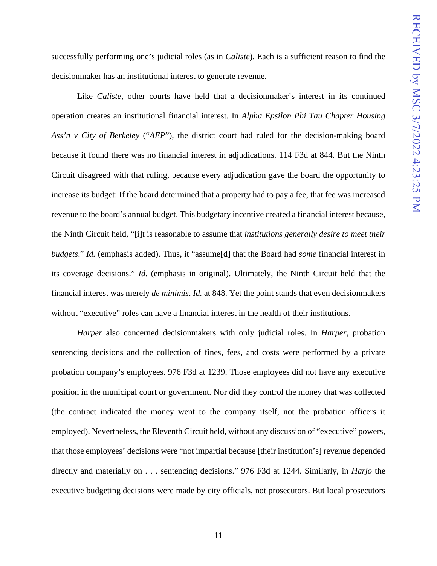successfully performing one's judicial roles (as in *Caliste*). Each is a sufficient reason to find the decisionmaker has an institutional interest to generate revenue.

Like *Caliste*, other courts have held that a decisionmaker's interest in its continued operation creates an institutional financial interest. In *Alpha Epsilon Phi Tau Chapter Housing Ass'n v City of Berkeley* ("*AEP*"), the district court had ruled for the decision-making board because it found there was no financial interest in adjudications. 114 F3d at 844. But the Ninth Circuit disagreed with that ruling, because every adjudication gave the board the opportunity to increase its budget: If the board determined that a property had to pay a fee, that fee was increased revenue to the board's annual budget. This budgetary incentive created a financial interest because, the Ninth Circuit held, "[i]t is reasonable to assume that *institutions generally desire to meet their budgets*." *Id.* (emphasis added). Thus, it "assume[d] that the Board had *some* financial interest in its coverage decisions." *Id*. (emphasis in original). Ultimately, the Ninth Circuit held that the financial interest was merely *de minimis*. *Id.* at 848. Yet the point stands that even decisionmakers without "executive" roles can have a financial interest in the health of their institutions.

*Harper* also concerned decisionmakers with only judicial roles. In *Harper*, probation sentencing decisions and the collection of fines, fees, and costs were performed by a private probation company's employees. 976 F3d at 1239. Those employees did not have any executive position in the municipal court or government. Nor did they control the money that was collected (the contract indicated the money went to the company itself, not the probation officers it employed). Nevertheless, the Eleventh Circuit held, without any discussion of "executive" powers, that those employees' decisions were "not impartial because [their institution's] revenue depended directly and materially on . . . sentencing decisions." 976 F3d at 1244. Similarly, in *Harjo* the executive budgeting decisions were made by city officials, not prosecutors. But local prosecutors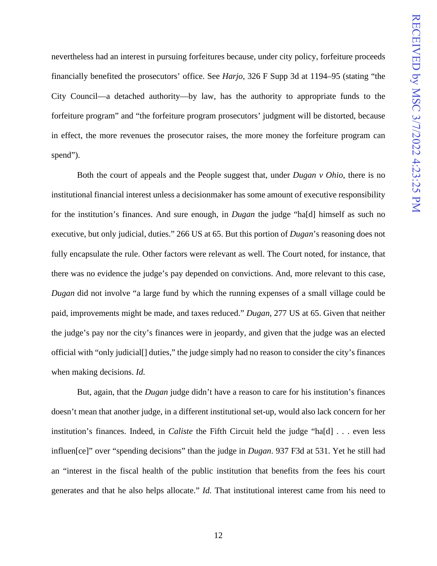nevertheless had an interest in pursuing forfeitures because, under city policy, forfeiture proceeds financially benefited the prosecutors' office. See *Harjo*, 326 F Supp 3d at 1194–95 (stating "the City Council—a detached authority—by law, has the authority to appropriate funds to the forfeiture program" and "the forfeiture program prosecutors' judgment will be distorted, because in effect, the more revenues the prosecutor raises, the more money the forfeiture program can spend").

Both the court of appeals and the People suggest that, under *Dugan v Ohio*, there is no institutional financial interest unless a decisionmaker has some amount of executive responsibility for the institution's finances. And sure enough, in *Dugan* the judge "ha[d] himself as such no executive, but only judicial, duties." 266 US at 65. But this portion of *Dugan*'s reasoning does not fully encapsulate the rule. Other factors were relevant as well. The Court noted, for instance, that there was no evidence the judge's pay depended on convictions. And, more relevant to this case, *Dugan* did not involve "a large fund by which the running expenses of a small village could be paid, improvements might be made, and taxes reduced." *Dugan*, 277 US at 65. Given that neither the judge's pay nor the city's finances were in jeopardy, and given that the judge was an elected official with "only judicial[] duties," the judge simply had no reason to consider the city's finances when making decisions. *Id.*

But, again, that the *Dugan* judge didn't have a reason to care for his institution's finances doesn't mean that another judge, in a different institutional set-up, would also lack concern for her institution's finances. Indeed, in *Caliste* the Fifth Circuit held the judge "ha[d] . . . even less influen[ce]" over "spending decisions" than the judge in *Dugan*. 937 F3d at 531. Yet he still had an "interest in the fiscal health of the public institution that benefits from the fees his court generates and that he also helps allocate." *Id.* That institutional interest came from his need to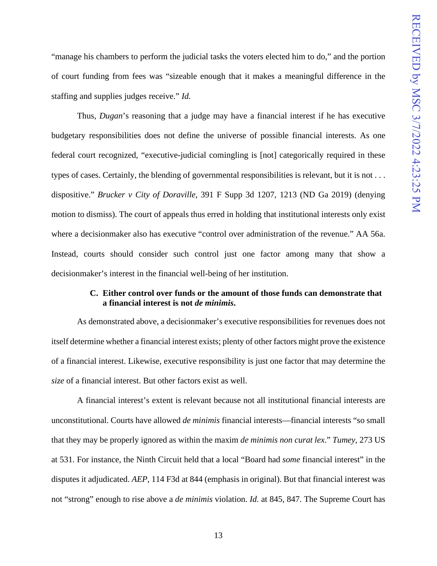"manage his chambers to perform the judicial tasks the voters elected him to do," and the portion of court funding from fees was "sizeable enough that it makes a meaningful difference in the staffing and supplies judges receive." *Id.*

Thus, *Dugan*'s reasoning that a judge may have a financial interest if he has executive budgetary responsibilities does not define the universe of possible financial interests. As one federal court recognized, "executive-judicial comingling is [not] categorically required in these types of cases. Certainly, the blending of governmental responsibilities is relevant, but it is not . . . dispositive." *Brucker v City of Doraville*, 391 F Supp 3d 1207, 1213 (ND Ga 2019) (denying motion to dismiss). The court of appeals thus erred in holding that institutional interests only exist where a decisionmaker also has executive "control over administration of the revenue." AA 56a. Instead, courts should consider such control just one factor among many that show a decisionmaker's interest in the financial well-being of her institution.

## **C. Either control over funds or the amount of those funds can demonstrate that a financial interest is not** *de minimis***.**

<span id="page-17-0"></span>As demonstrated above, a decisionmaker's executive responsibilities for revenues does not itself determine whether a financial interest exists; plenty of other factors might prove the existence of a financial interest. Likewise, executive responsibility is just one factor that may determine the *size* of a financial interest. But other factors exist as well.

A financial interest's extent is relevant because not all institutional financial interests are unconstitutional. Courts have allowed *de minimis* financial interests—financial interests "so small that they may be properly ignored as within the maxim *de minimis non curat lex*." *Tumey*, 273 US at 531. For instance, the Ninth Circuit held that a local "Board had *some* financial interest" in the disputes it adjudicated. *AEP*, 114 F3d at 844 (emphasis in original). But that financial interest was not "strong" enough to rise above a *de minimis* violation. *Id.* at 845, 847. The Supreme Court has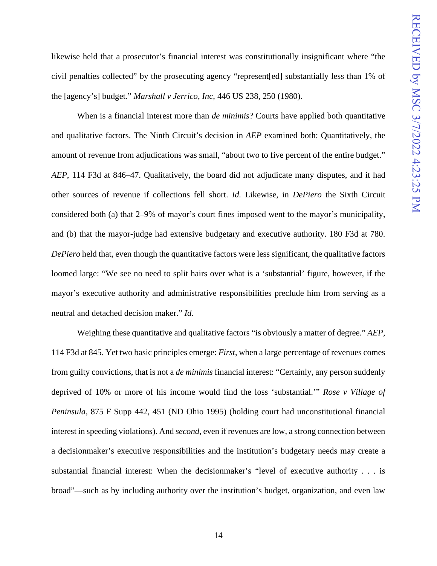likewise held that a prosecutor's financial interest was constitutionally insignificant where "the civil penalties collected" by the prosecuting agency "represent[ed] substantially less than 1% of the [agency's] budget." *Marshall v Jerrico*, *Inc*, 446 US 238, 250 (1980).

When is a financial interest more than *de minimis*? Courts have applied both quantitative and qualitative factors. The Ninth Circuit's decision in *AEP* examined both: Quantitatively, the amount of revenue from adjudications was small, "about two to five percent of the entire budget." *AEP*, 114 F3d at 846–47. Qualitatively, the board did not adjudicate many disputes, and it had other sources of revenue if collections fell short. *Id.* Likewise, in *DePiero* the Sixth Circuit considered both (a) that 2–9% of mayor's court fines imposed went to the mayor's municipality, and (b) that the mayor-judge had extensive budgetary and executive authority. 180 F3d at 780. *DePiero* held that, even though the quantitative factors were less significant, the qualitative factors loomed large: "We see no need to split hairs over what is a 'substantial' figure, however, if the mayor's executive authority and administrative responsibilities preclude him from serving as a neutral and detached decision maker." *Id.*

Weighing these quantitative and qualitative factors "is obviously a matter of degree." *AEP*, 114 F3d at 845. Yet two basic principles emerge: *First*, when a large percentage of revenues comes from guilty convictions, that is not a *de minimis* financial interest: "Certainly, any person suddenly deprived of 10% or more of his income would find the loss 'substantial.'" *Rose v Village of Peninsula*, 875 F Supp 442, 451 (ND Ohio 1995) (holding court had unconstitutional financial interest in speeding violations). And *second*, even if revenues are low, a strong connection between a decisionmaker's executive responsibilities and the institution's budgetary needs may create a substantial financial interest: When the decisionmaker's "level of executive authority . . . is broad"—such as by including authority over the institution's budget, organization, and even law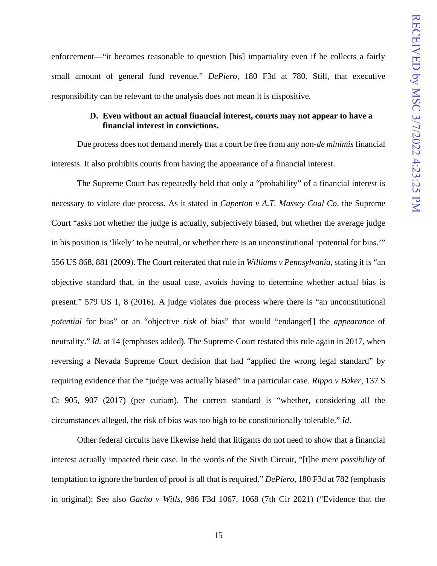enforcement—"it becomes reasonable to question [his] impartiality even if he collects a fairly small amount of general fund revenue." *DePiero*, 180 F3d at 780. Still, that executive responsibility can be relevant to the analysis does not mean it is dispositive.

## **D. Even without an actual financial interest, courts may not appear to have a financial interest in convictions.**

<span id="page-19-0"></span>Due process does not demand merely that a court be free from any non-*de minimis* financial interests. It also prohibits courts from having the appearance of a financial interest.

The Supreme Court has repeatedly held that only a "probability" of a financial interest is necessary to violate due process. As it stated in *Caperton v A.T. Massey Coal Co*, the Supreme Court "asks not whether the judge is actually, subjectively biased, but whether the average judge in his position is 'likely' to be neutral, or whether there is an unconstitutional 'potential for bias.'" 556 US 868, 881 (2009). The Court reiterated that rule in *Williams v Pennsylvania*, stating it is "an objective standard that, in the usual case, avoids having to determine whether actual bias is present." 579 US 1, 8 (2016). A judge violates due process where there is "an unconstitutional *potential* for bias" or an "objective *risk* of bias" that would "endanger[] the *appearance* of neutrality." *Id.* at 14 (emphases added). The Supreme Court restated this rule again in 2017, when reversing a Nevada Supreme Court decision that had "applied the wrong legal standard" by requiring evidence that the "judge was actually biased" in a particular case. *Rippo v Baker*, 137 S Ct 905, 907 (2017) (per curiam). The correct standard is "whether, considering all the circumstances alleged, the risk of bias was too high to be constitutionally tolerable." *Id*.

Other federal circuits have likewise held that litigants do not need to show that a financial interest actually impacted their case. In the words of the Sixth Circuit, "[t]he mere *possibility* of temptation to ignore the burden of proof is all that is required." *DePiero*, 180 F3d at 782 (emphasis in original); See also *Gacho v Wills*, 986 F3d 1067, 1068 (7th Cir 2021) ("Evidence that the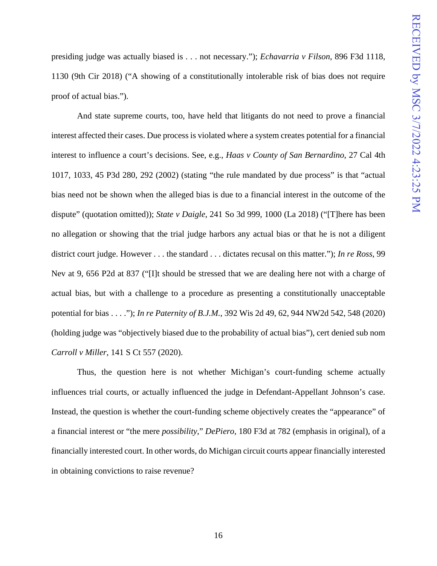presiding judge was actually biased is . . . not necessary."); *Echavarria v Filson*, 896 F3d 1118, 1130 (9th Cir 2018) ("A showing of a constitutionally intolerable risk of bias does not require proof of actual bias.").

And state supreme courts, too, have held that litigants do not need to prove a financial interest affected their cases. Due process is violated where a system creates potential for a financial interest to influence a court's decisions. See, e.g., *Haas v County of San Bernardino*, 27 Cal 4th 1017, 1033, 45 P3d 280, 292 (2002) (stating "the rule mandated by due process" is that "actual bias need not be shown when the alleged bias is due to a financial interest in the outcome of the dispute" (quotation omitted)); *State v Daigle*, 241 So 3d 999, 1000 (La 2018) ("[T]here has been no allegation or showing that the trial judge harbors any actual bias or that he is not a diligent district court judge. However . . . the standard . . . dictates recusal on this matter."); *In re Ross*, 99 Nev at 9, 656 P2d at 837 ("[I]t should be stressed that we are dealing here not with a charge of actual bias, but with a challenge to a procedure as presenting a constitutionally unacceptable potential for bias . . . ."); *In re Paternity of B.J.M.*, 392 Wis 2d 49, 62, 944 NW2d 542, 548 (2020) (holding judge was "objectively biased due to the probability of actual bias"), cert denied sub nom *Carroll v Miller*, 141 S Ct 557 (2020).

Thus, the question here is not whether Michigan's court-funding scheme actually influences trial courts, or actually influenced the judge in Defendant-Appellant Johnson's case. Instead, the question is whether the court-funding scheme objectively creates the "appearance" of a financial interest or "the mere *possibility*," *DePiero*, 180 F3d at 782 (emphasis in original), of a financially interested court. In other words, do Michigan circuit courts appear financially interested in obtaining convictions to raise revenue?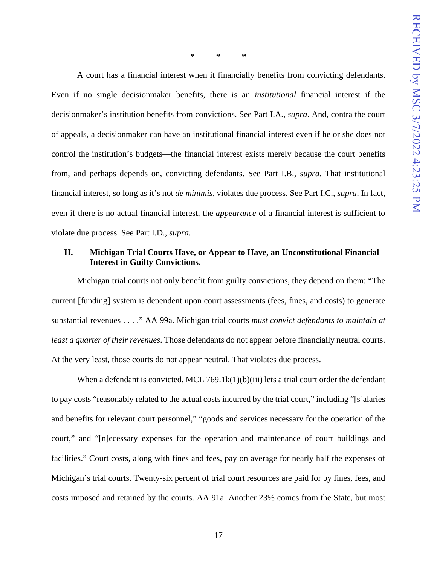**\* \* \*** 

A court has a financial interest when it financially benefits from convicting defendants. Even if no single decisionmaker benefits, there is an *institutional* financial interest if the decisionmaker's institution benefits from convictions. See Part I.A., *supra*. And, contra the court of appeals, a decisionmaker can have an institutional financial interest even if he or she does not control the institution's budgets—the financial interest exists merely because the court benefits from, and perhaps depends on, convicting defendants. See Part I.B., *supra*. That institutional financial interest, so long as it's not *de minimis*, violates due process. See Part I.C., *supra*. In fact, even if there is no actual financial interest, the *appearance* of a financial interest is sufficient to violate due process. See Part I.D., *supra*.

## <span id="page-21-0"></span>**II. Michigan Trial Courts Have, or Appear to Have, an Unconstitutional Financial Interest in Guilty Convictions.**

Michigan trial courts not only benefit from guilty convictions, they depend on them: "The current [funding] system is dependent upon court assessments (fees, fines, and costs) to generate substantial revenues . . . ." AA 99a. Michigan trial courts *must convict defendants to maintain at least a quarter of their revenues*. Those defendants do not appear before financially neutral courts. At the very least, those courts do not appear neutral. That violates due process.

When a defendant is convicted, MCL 769.1 $k(1)(b)(iii)$  lets a trial court order the defendant to pay costs "reasonably related to the actual costs incurred by the trial court," including "[s]alaries and benefits for relevant court personnel," "goods and services necessary for the operation of the court," and "[n]ecessary expenses for the operation and maintenance of court buildings and facilities." Court costs, along with fines and fees, pay on average for nearly half the expenses of Michigan's trial courts. Twenty-six percent of trial court resources are paid for by fines, fees, and costs imposed and retained by the courts. AA 91a. Another 23% comes from the State, but most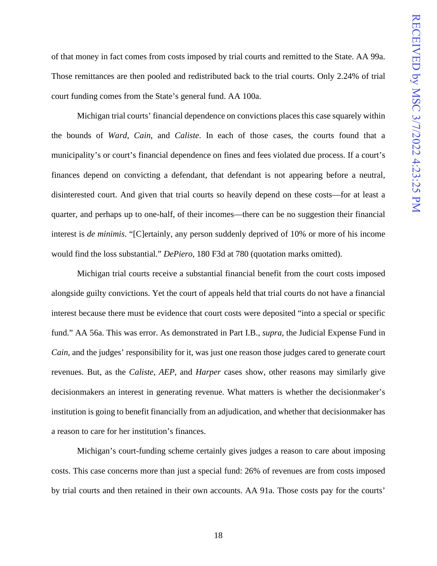of that money in fact comes from costs imposed by trial courts and remitted to the State. AA 99a. Those remittances are then pooled and redistributed back to the trial courts. Only 2.24% of trial court funding comes from the State's general fund. AA 100a.

Michigan trial courts' financial dependence on convictions places this case squarely within the bounds of *Ward*, *Cain*, and *Caliste*. In each of those cases, the courts found that a municipality's or court's financial dependence on fines and fees violated due process. If a court's finances depend on convicting a defendant, that defendant is not appearing before a neutral, disinterested court. And given that trial courts so heavily depend on these costs—for at least a quarter, and perhaps up to one-half, of their incomes—there can be no suggestion their financial interest is *de minimis*. "[C]ertainly, any person suddenly deprived of 10% or more of his income would find the loss substantial." *DePiero*, 180 F3d at 780 (quotation marks omitted).

Michigan trial courts receive a substantial financial benefit from the court costs imposed alongside guilty convictions. Yet the court of appeals held that trial courts do not have a financial interest because there must be evidence that court costs were deposited "into a special or specific fund." AA 56a. This was error. As demonstrated in Part I.B., *supra*, the Judicial Expense Fund in *Cain*, and the judges' responsibility for it, was just one reason those judges cared to generate court revenues. But, as the *Caliste*, *AEP*, and *Harper* cases show, other reasons may similarly give decisionmakers an interest in generating revenue. What matters is whether the decisionmaker's institution is going to benefit financially from an adjudication, and whether that decisionmaker has a reason to care for her institution's finances.

Michigan's court-funding scheme certainly gives judges a reason to care about imposing costs. This case concerns more than just a special fund: 26% of revenues are from costs imposed by trial courts and then retained in their own accounts. AA 91a. Those costs pay for the courts'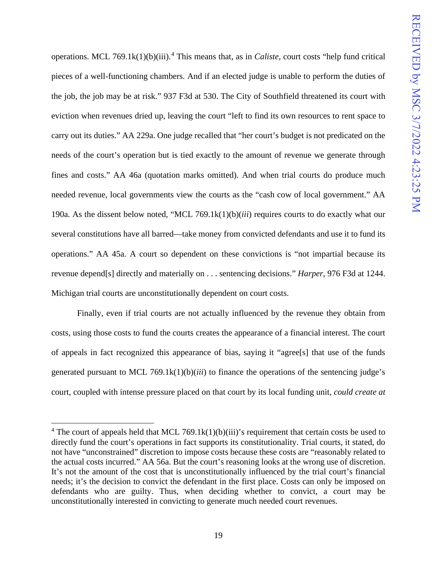operations. MCL 769.1k(1)(b)(iii). [4](#page-23-0) This means that, as in *Caliste*, court costs "help fund critical pieces of a well-functioning chambers. And if an elected judge is unable to perform the duties of the job, the job may be at risk." 937 F3d at 530. The City of Southfield threatened its court with eviction when revenues dried up, leaving the court "left to find its own resources to rent space to carry out its duties." AA 229a. One judge recalled that "her court's budget is not predicated on the needs of the court's operation but is tied exactly to the amount of revenue we generate through fines and costs." AA 46a (quotation marks omitted). And when trial courts do produce much needed revenue, local governments view the courts as the "cash cow of local government." AA 190a. As the dissent below noted, "MCL 769.1k(1)(b)(*iii*) requires courts to do exactly what our several constitutions have all barred—take money from convicted defendants and use it to fund its operations." AA 45a. A court so dependent on these convictions is "not impartial because its revenue depend[s] directly and materially on . . . sentencing decisions." *Harper*, 976 F3d at 1244. Michigan trial courts are unconstitutionally dependent on court costs.

Finally, even if trial courts are not actually influenced by the revenue they obtain from costs, using those costs to fund the courts creates the appearance of a financial interest. The court of appeals in fact recognized this appearance of bias, saying it "agree[s] that use of the funds generated pursuant to MCL 769.1k(1)(b)(*iii*) to finance the operations of the sentencing judge's court, coupled with intense pressure placed on that court by its local funding unit, *could create at* 

<span id="page-23-0"></span><sup>&</sup>lt;sup>4</sup> The court of appeals held that MCL 769.1k(1)(b)(iii)'s requirement that certain costs be used to directly fund the court's operations in fact supports its constitutionality. Trial courts, it stated, do not have "unconstrained" discretion to impose costs because these costs are "reasonably related to the actual costs incurred." AA 56a. But the court's reasoning looks at the wrong use of discretion. It's not the amount of the cost that is unconstitutionally influenced by the trial court's financial needs; it's the decision to convict the defendant in the first place. Costs can only be imposed on defendants who are guilty. Thus, when deciding whether to convict, a court may be unconstitutionally interested in convicting to generate much needed court revenues.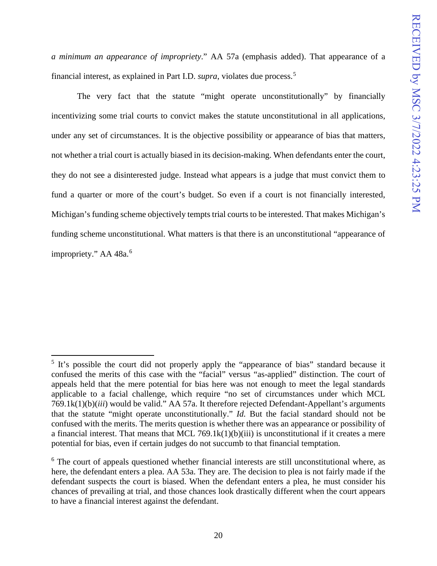*a minimum an appearance of impropriety*." AA 57a (emphasis added). That appearance of a financial interest, as explained in Part I.D. *supra*, violates due process.[5](#page-24-0)

The very fact that the statute "might operate unconstitutionally" by financially incentivizing some trial courts to convict makes the statute unconstitutional in all applications, under any set of circumstances. It is the objective possibility or appearance of bias that matters, not whether a trial court is actually biased in its decision-making. When defendants enter the court, they do not see a disinterested judge. Instead what appears is a judge that must convict them to fund a quarter or more of the court's budget. So even if a court is not financially interested, Michigan's funding scheme objectively tempts trial courts to be interested. That makes Michigan's funding scheme unconstitutional. What matters is that there is an unconstitutional "appearance of impropriety." AA 48a.<sup>[6](#page-24-1)</sup>

<span id="page-24-0"></span> $5$  It's possible the court did not properly apply the "appearance of bias" standard because it confused the merits of this case with the "facial" versus "as-applied" distinction. The court of appeals held that the mere potential for bias here was not enough to meet the legal standards applicable to a facial challenge, which require "no set of circumstances under which MCL 769.1k(1)(b)(*iii*) would be valid." AA 57a. It therefore rejected Defendant-Appellant's arguments that the statute "might operate unconstitutionally." *Id.* But the facial standard should not be confused with the merits. The merits question is whether there was an appearance or possibility of a financial interest. That means that MCL 769.1 $k(1)(b)(iii)$  is unconstitutional if it creates a mere potential for bias, even if certain judges do not succumb to that financial temptation.

<span id="page-24-1"></span><sup>&</sup>lt;sup>6</sup> The court of appeals questioned whether financial interests are still unconstitutional where, as here, the defendant enters a plea. AA 53a. They are. The decision to plea is not fairly made if the defendant suspects the court is biased. When the defendant enters a plea, he must consider his chances of prevailing at trial, and those chances look drastically different when the court appears to have a financial interest against the defendant.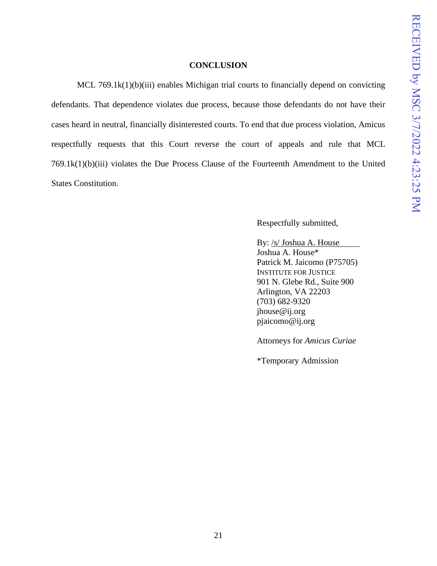#### **CONCLUSION**

<span id="page-25-0"></span>MCL 769.1k(1)(b)(iii) enables Michigan trial courts to financially depend on convicting defendants. That dependence violates due process, because those defendants do not have their cases heard in neutral, financially disinterested courts. To end that due process violation, Amicus respectfully requests that this Court reverse the court of appeals and rule that MCL 769.1k(1)(b)(iii) violates the Due Process Clause of the Fourteenth Amendment to the United States Constitution.

Respectfully submitted,

By: /s/ Joshua A. House Joshua A. House\* Patrick M. Jaicomo (P75705) INSTITUTE FOR JUSTICE 901 N. Glebe Rd., Suite 900 Arlington, VA 22203 (703) 682-9320 jhouse@ij.org pjaicomo@ij.org

Attorneys for *Amicus Curiae*

\*Temporary Admission